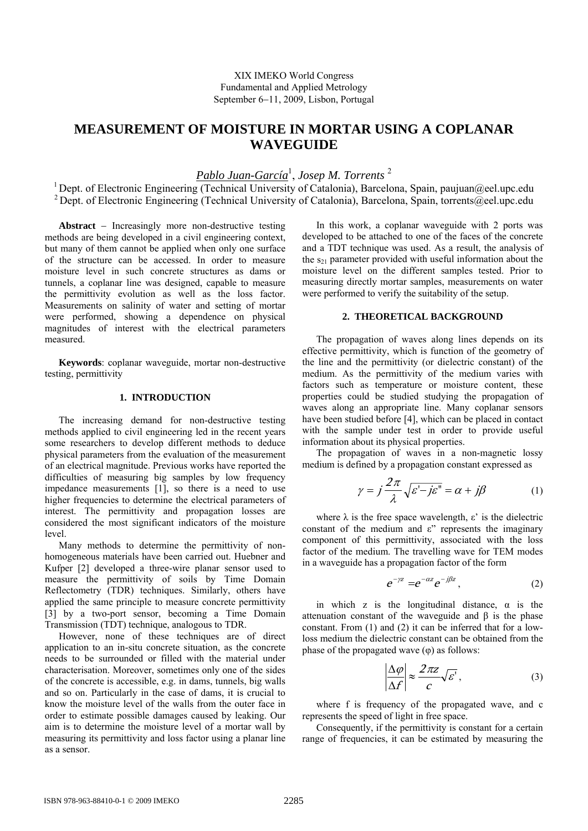XIX IMEKO World Congress Fundamental and Applied Metrology September 6–11, 2009, Lisbon, Portugal

# **MEASUREMENT OF MOISTURE IN MORTAR USING A COPLANAR WAVEGUIDE**

*Pablo Juan-García*<sup>1</sup> , *Josep M. Torrents* <sup>2</sup>

<sup>1</sup> Dept. of Electronic Engineering (Technical University of Catalonia), Barcelona, Spain, paujuan@eel.upc.edu <sup>2</sup> Dept. of Electronic Engineering (Technical University of Catalonia), Barcelona, Spain, torrents@eel.upc.edu

Abstract - Increasingly more non-destructive testing methods are being developed in a civil engineering context, but many of them cannot be applied when only one surface of the structure can be accessed. In order to measure moisture level in such concrete structures as dams or tunnels, a coplanar line was designed, capable to measure the permittivity evolution as well as the loss factor. Measurements on salinity of water and setting of mortar were performed, showing a dependence on physical magnitudes of interest with the electrical parameters measured.

**Keywords**: coplanar waveguide, mortar non-destructive testing, permittivity

# **1. INTRODUCTION**

The increasing demand for non-destructive testing methods applied to civil engineering led in the recent years some researchers to develop different methods to deduce physical parameters from the evaluation of the measurement of an electrical magnitude. Previous works have reported the difficulties of measuring big samples by low frequency impedance measurements [1], so there is a need to use higher frequencies to determine the electrical parameters of interest. The permittivity and propagation losses are considered the most significant indicators of the moisture level.

Many methods to determine the permittivity of nonhomogeneous materials have been carried out. Huebner and Kufper [2] developed a three-wire planar sensor used to measure the permittivity of soils by Time Domain Reflectometry (TDR) techniques. Similarly, others have applied the same principle to measure concrete permittivity [3] by a two-port sensor, becoming a Time Domain Transmission (TDT) technique, analogous to TDR.

However, none of these techniques are of direct application to an in-situ concrete situation, as the concrete needs to be surrounded or filled with the material under characterisation. Moreover, sometimes only one of the sides of the concrete is accessible, e.g. in dams, tunnels, big walls and so on. Particularly in the case of dams, it is crucial to know the moisture level of the walls from the outer face in order to estimate possible damages caused by leaking. Our aim is to determine the moisture level of a mortar wall by measuring its permittivity and loss factor using a planar line as a sensor.

In this work, a coplanar waveguide with 2 ports was developed to be attached to one of the faces of the concrete and a TDT technique was used. As a result, the analysis of the  $s_{21}$  parameter provided with useful information about the moisture level on the different samples tested. Prior to measuring directly mortar samples, measurements on water were performed to verify the suitability of the setup.

#### **2. THEORETICAL BACKGROUND**

The propagation of waves along lines depends on its effective permittivity, which is function of the geometry of the line and the permittivity (or dielectric constant) of the medium. As the permittivity of the medium varies with factors such as temperature or moisture content, these properties could be studied studying the propagation of waves along an appropriate line. Many coplanar sensors have been studied before [4], which can be placed in contact with the sample under test in order to provide useful information about its physical properties.

The propagation of waves in a non-magnetic lossy medium is defined by a propagation constant expressed as

$$
\gamma = j \frac{2\pi}{\lambda} \sqrt{\varepsilon' - j\varepsilon''} = \alpha + j\beta \tag{1}
$$

where  $\lambda$  is the free space wavelength,  $\varepsilon$ ' is the dielectric constant of the medium and  $\varepsilon$ " represents the imaginary component of this permittivity, associated with the loss factor of the medium. The travelling wave for TEM modes in a waveguide has a propagation factor of the form

$$
e^{-\gamma z} = e^{-\alpha z} e^{-j\beta z}, \qquad (2)
$$

in which z is the longitudinal distance,  $\alpha$  is the attenuation constant of the waveguide and β is the phase constant. From (1) and (2) it can be inferred that for a lowloss medium the dielectric constant can be obtained from the phase of the propagated wave  $(φ)$  as follows:

$$
\left|\frac{\Delta \varphi}{\Delta f}\right| \approx \frac{2\pi z}{c} \sqrt{\varepsilon'},\tag{3}
$$

where f is frequency of the propagated wave, and c represents the speed of light in free space.

Consequently, if the permittivity is constant for a certain range of frequencies, it can be estimated by measuring the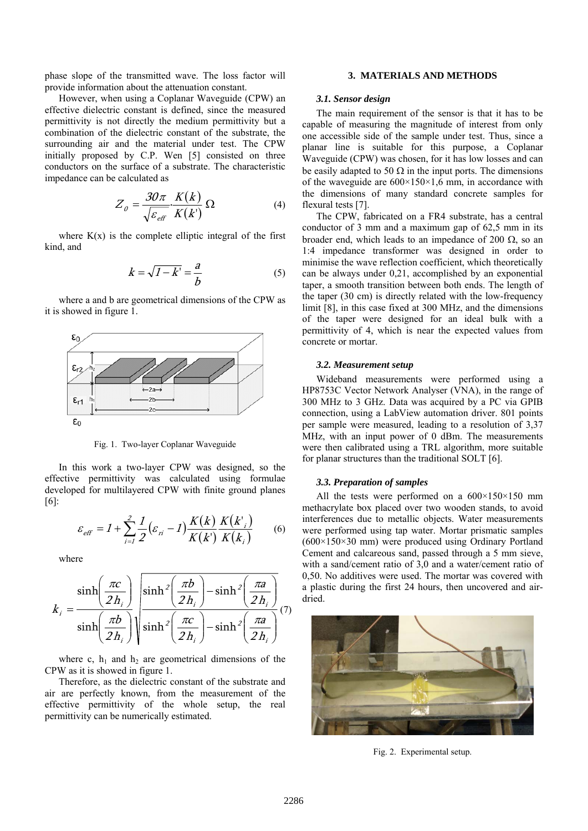phase slope of the transmitted wave. The loss factor will provide information about the attenuation constant.

However, when using a Coplanar Waveguide (CPW) an effective dielectric constant is defined, since the measured permittivity is not directly the medium permittivity but a combination of the dielectric constant of the substrate, the surrounding air and the material under test. The CPW initially proposed by C.P. Wen [5] consisted on three conductors on the surface of a substrate. The characteristic impedance can be calculated as

$$
Z_{o} = \frac{30\pi}{\sqrt{\varepsilon_{\text{eff}}}} \cdot \frac{K(k)}{K(k')} \,\Omega\tag{4}
$$

where  $K(x)$  is the complete elliptic integral of the first kind, and

$$
k = \sqrt{1 - k'} = \frac{a}{b} \tag{5}
$$

where a and b are geometrical dimensions of the CPW as it is showed in figure 1.



Fig. 1. Two-layer Coplanar Waveguide

In this work a two-layer CPW was designed, so the effective permittivity was calculated using formulae developed for multilayered CPW with finite ground planes [6]:

$$
\varepsilon_{\text{eff}} = I + \sum_{i=1}^{2} \frac{1}{2} (\varepsilon_{\text{ri}} - I) \frac{K(k)}{K(k')} \frac{K(k')}{K(k_i)} \tag{6}
$$

where

$$
k_{i} = \frac{\sinh\left(\frac{\pi c}{2h_{i}}\right)}{\sinh\left(\frac{\pi b}{2h_{i}}\right)} \sqrt{\frac{\sinh^{2}\left(\frac{\pi b}{2h_{i}}\right)-\sinh^{2}\left(\frac{\pi a}{2h_{i}}\right)}{\sinh^{2}\left(\frac{\pi c}{2h_{i}}\right)-\sinh^{2}\left(\frac{\pi a}{2h_{i}}\right)}}(7)
$$

where c,  $h_1$  and  $h_2$  are geometrical dimensions of the CPW as it is showed in figure 1.

Therefore, as the dielectric constant of the substrate and air are perfectly known, from the measurement of the effective permittivity of the whole setup, the real permittivity can be numerically estimated.

## **3. MATERIALS AND METHODS**

#### *3.1. Sensor design*

The main requirement of the sensor is that it has to be capable of measuring the magnitude of interest from only one accessible side of the sample under test. Thus, since a planar line is suitable for this purpose, a Coplanar Waveguide (CPW) was chosen, for it has low losses and can be easily adapted to 50  $\Omega$  in the input ports. The dimensions of the waveguide are  $600\times150\times1,6$  mm, in accordance with the dimensions of many standard concrete samples for flexural tests [7].

The CPW, fabricated on a FR4 substrate, has a central conductor of 3 mm and a maximum gap of 62,5 mm in its broader end, which leads to an impedance of 200  $\Omega$ , so an 1:4 impedance transformer was designed in order to minimise the wave reflection coefficient, which theoretically can be always under 0,21, accomplished by an exponential taper, a smooth transition between both ends. The length of the taper (30 cm) is directly related with the low-frequency limit [8], in this case fixed at 300 MHz, and the dimensions of the taper were designed for an ideal bulk with a permittivity of 4, which is near the expected values from concrete or mortar.

### *3.2. Measurement setup*

Wideband measurements were performed using a HP8753C Vector Network Analyser (VNA), in the range of 300 MHz to 3 GHz. Data was acquired by a PC via GPIB connection, using a LabView automation driver. 801 points per sample were measured, leading to a resolution of 3,37 MHz, with an input power of 0 dBm. The measurements were then calibrated using a TRL algorithm, more suitable for planar structures than the traditional SOLT [6].

#### *3.3. Preparation of samples*

All the tests were performed on a  $600\times150\times150$  mm methacrylate box placed over two wooden stands, to avoid interferences due to metallic objects. Water measurements were performed using tap water. Mortar prismatic samples (600×150×30 mm) were produced using Ordinary Portland Cement and calcareous sand, passed through a 5 mm sieve, with a sand/cement ratio of 3,0 and a water/cement ratio of 0,50. No additives were used. The mortar was covered with a plastic during the first 24 hours, then uncovered and airdried.



Fig. 2. Experimental setup.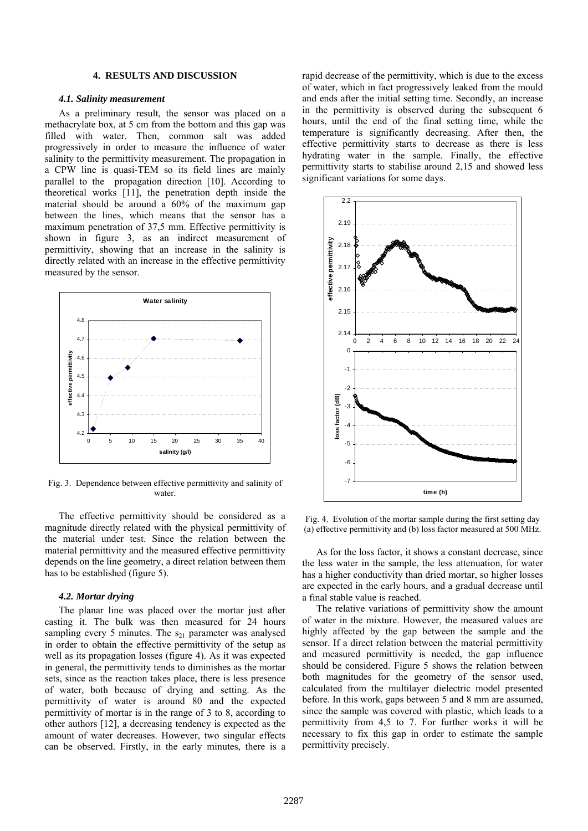## **4. RESULTS AND DISCUSSION**

#### *4.1. Salinity measurement*

As a preliminary result, the sensor was placed on a methacrylate box, at 5 cm from the bottom and this gap was filled with water. Then, common salt was added progressively in order to measure the influence of water salinity to the permittivity measurement. The propagation in a CPW line is quasi-TEM so its field lines are mainly parallel to the propagation direction [10]. According to theoretical works [11], the penetration depth inside the material should be around a 60% of the maximum gap between the lines, which means that the sensor has a maximum penetration of 37,5 mm. Effective permittivity is shown in figure 3, as an indirect measurement of permittivity, showing that an increase in the salinity is directly related with an increase in the effective permittivity measured by the sensor.



Fig. 3. Dependence between effective permittivity and salinity of water

The effective permittivity should be considered as a magnitude directly related with the physical permittivity of the material under test. Since the relation between the material permittivity and the measured effective permittivity depends on the line geometry, a direct relation between them has to be established (figure 5).

#### *4.2. Mortar drying*

The planar line was placed over the mortar just after casting it. The bulk was then measured for 24 hours sampling every 5 minutes. The  $s_{21}$  parameter was analysed in order to obtain the effective permittivity of the setup as well as its propagation losses (figure 4). As it was expected in general, the permittivity tends to diminishes as the mortar sets, since as the reaction takes place, there is less presence of water, both because of drying and setting. As the permittivity of water is around 80 and the expected permittivity of mortar is in the range of 3 to 8, according to other authors [12], a decreasing tendency is expected as the amount of water decreases. However, two singular effects can be observed. Firstly, in the early minutes, there is a rapid decrease of the permittivity, which is due to the excess of water, which in fact progressively leaked from the mould and ends after the initial setting time. Secondly, an increase in the permittivity is observed during the subsequent 6 hours, until the end of the final setting time, while the temperature is significantly decreasing. After then, the effective permittivity starts to decrease as there is less hydrating water in the sample. Finally, the effective permittivity starts to stabilise around 2,15 and showed less significant variations for some days.



Fig. 4. Evolution of the mortar sample during the first setting day (a) effective permittivity and (b) loss factor measured at 500 MHz.

As for the loss factor, it shows a constant decrease, since the less water in the sample, the less attenuation, for water has a higher conductivity than dried mortar, so higher losses are expected in the early hours, and a gradual decrease until a final stable value is reached.

The relative variations of permittivity show the amount of water in the mixture. However, the measured values are highly affected by the gap between the sample and the sensor. If a direct relation between the material permittivity and measured permittivity is needed, the gap influence should be considered. Figure 5 shows the relation between both magnitudes for the geometry of the sensor used, calculated from the multilayer dielectric model presented before. In this work, gaps between 5 and 8 mm are assumed, since the sample was covered with plastic, which leads to a permittivity from 4,5 to 7. For further works it will be necessary to fix this gap in order to estimate the sample permittivity precisely.